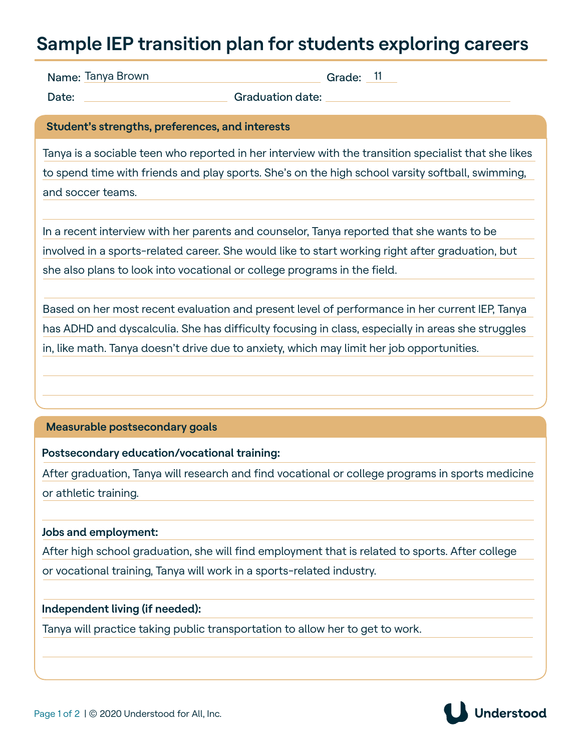## **Sample IEP transition plan for students exploring careers**

Name: Tanya Brown

 $\Box$  Grade:  $11$ 

Date: Canadian Constitution date:

**Student's strengths, preferences, and interests**

Tanya is a sociable teen who reported in her interview with the transition specialist that she likes to spend time with friends and play sports. She's on the high school varsity softball, swimming, and soccer teams.

In a recent interview with her parents and counselor, Tanya reported that she wants to be involved in a sports-related career. She would like to start working right after graduation, but she also plans to look into vocational or college programs in the field.

Based on her most recent evaluation and present level of performance in her current IEP, Tanya has ADHD and dyscalculia. She has difficulty focusing in class, especially in areas she struggles in, like math. Tanya doesn't drive due to anxiety, which may limit her job opportunities.

### **Measurable postsecondary goals**

### **Postsecondary education/vocational training:**

After graduation, Tanya will research and find vocational or college programs in sports medicine or athletic training.

### **Jobs and employment:**

After high school graduation, she will find employment that is related to sports. After college or vocational training, Tanya will work in a sports-related industry.

### **Independent living (if needed):**

Tanya will practice taking public transportation to allow her to get to work.